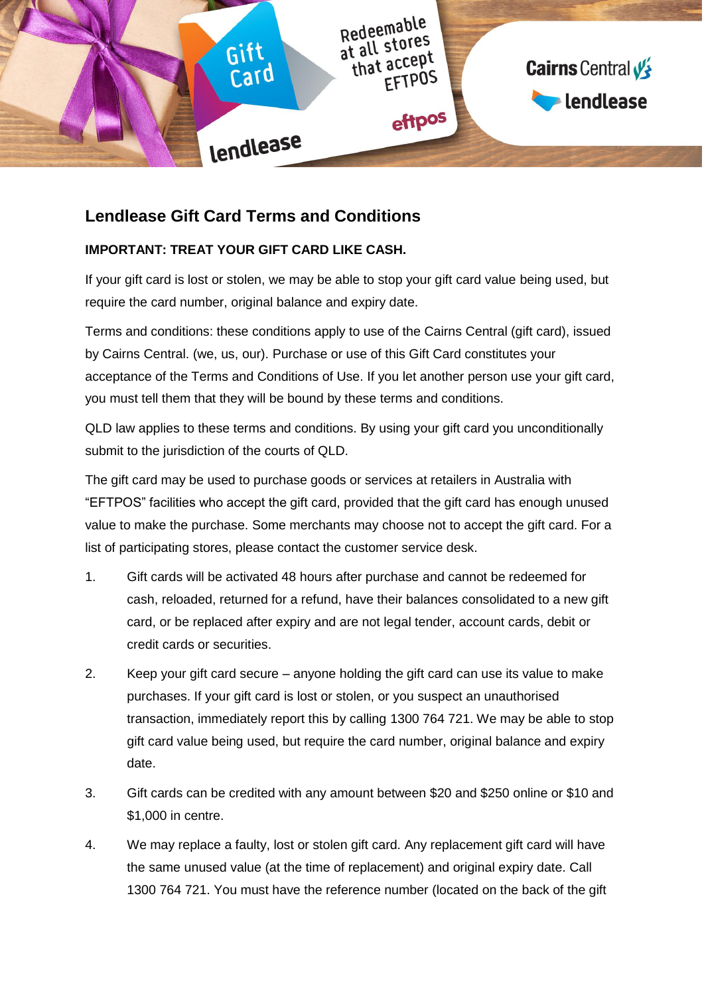

# **Lendlease Gift Card Terms and Conditions**

## **IMPORTANT: TREAT YOUR GIFT CARD LIKE CASH.**

If your gift card is lost or stolen, we may be able to stop your gift card value being used, but require the card number, original balance and expiry date.

Terms and conditions: these conditions apply to use of the Cairns Central (gift card), issued by Cairns Central. (we, us, our). Purchase or use of this Gift Card constitutes your acceptance of the Terms and Conditions of Use. If you let another person use your gift card, you must tell them that they will be bound by these terms and conditions.

QLD law applies to these terms and conditions. By using your gift card you unconditionally submit to the jurisdiction of the courts of QLD.

The gift card may be used to purchase goods or services at retailers in Australia with "EFTPOS" facilities who accept the gift card, provided that the gift card has enough unused value to make the purchase. Some merchants may choose not to accept the gift card. For a list of participating stores, please contact the customer service desk.

- 1. Gift cards will be activated 48 hours after purchase and cannot be redeemed for cash, reloaded, returned for a refund, have their balances consolidated to a new gift card, or be replaced after expiry and are not legal tender, account cards, debit or credit cards or securities.
- 2. Keep your gift card secure anyone holding the gift card can use its value to make purchases. If your gift card is lost or stolen, or you suspect an unauthorised transaction, immediately report this by calling 1300 764 721. We may be able to stop gift card value being used, but require the card number, original balance and expiry date.
- 3. Gift cards can be credited with any amount between \$20 and \$250 online or \$10 and \$1,000 in centre.
- 4. We may replace a faulty, lost or stolen gift card. Any replacement gift card will have the same unused value (at the time of replacement) and original expiry date. Call 1300 764 721. You must have the reference number (located on the back of the gift